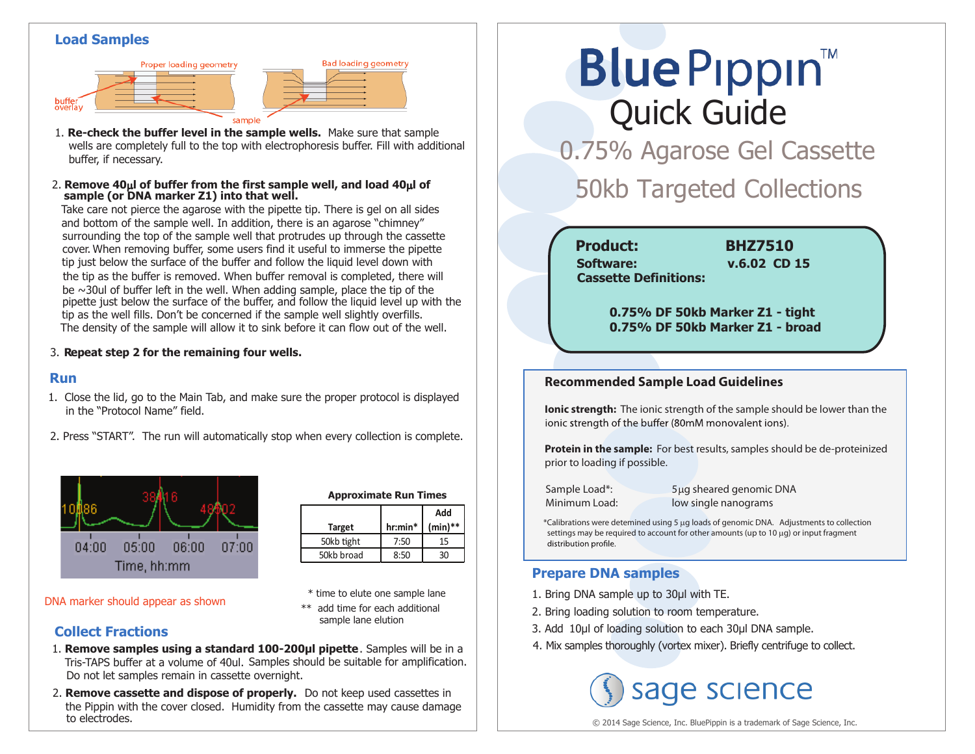#### **Load Samples**





**sample (or DNA marker Z1) into that well.** 2. Remove  $40\mu$  of buffer from the first sample well, and load  $40\mu$  of

Take care not pierce the agarose with the pipette tip. There is gel on all sides and bottom of the sample well. In addition, there is an agarose "chimney" surrounding the top of the sample well that protrudes up through the cassette cover. When removing buffer, some users find it useful to immerse the pipette tip just below the surface of the buffer and follow the liquid level down with the tip as the buffer is removed. When buffer removal is completed, there will be  $\sim$ 30ul of buffer left in the well. When adding sample, place the tip of the pipette just below the surface of the buffer, and follow the liquid level up with the tip as the well fills. Don't be concerned if the sample well slightly overfills. The density of the sample will allow it to sink before it can flow out of the well.

#### 3. **Repeat step 2 for the remaining four wells.**

#### **Run**

- 1. Close the lid, go to the Main Tab, and make sure the proper protocol is displayed in the "Protocol Name" field.
- 2. Press "START". The run will automatically stop when every collection is complete.



| <b>Approximate Run Times</b> |            |            |
|------------------------------|------------|------------|
|                              |            | Add        |
| <b>Target</b>                | $hr: min*$ | $(min)$ ** |
| 50kb tight                   | 7:50       | 15         |
| 50kb broad                   | 8:50       | 30         |

**Bad loading geometry** 

- \* time to elute one sample lane
	- \*\* add time for each additional sample lane elution

#### **Collect Fractions**

DNA marker should appear as shown

- Tris-TAPS buffer at a volume of 40ul. Samples should be suitable for amplification. 1. **Remove samples using a standard 100-200µl pipette**. Samples will be in a Do not let samples remain in cassette overnight.
- 2. **Remove cassette and dispose of properly.** Do not keep used cassettes in the Pippin with the cover closed. Humidity from the cassette may cause damage to electrodes.

# **BlueP**ippin™ Quick Guide

0.75% Agarose Gel Cassette

### **50kb Targeted Collections**

#### **Product: BHZ7510 Cassette Definitions: Software: v.6.02 CD 15**

 **0.75% DF 50kb Marker Z1 - tight 0.75% DF 50kb Marker Z1 - broad**

#### **Recommended Sample Load Guidelines**

**Ionic strength:** The ionic strength of the sample should be lower than the ionic strength of the buffer (80mM monovalent ions).

**Protein in the sample:** For best results, samples should be de-proteinized prior to loading if possible.

Sample Load\*: 5µg sheared genomic DNA Minimum Load: low single nanograms

\*Calibrations were detemined using 5 µg loads of genomic DNA. Adjustments to collection settings may be required to account for other amounts (up to 10 µg) or input fragment distribution profile.

#### **Prepare DNA samples**

- 1. Bring DNA sample up to 30μl with TE.
- 2. Bring loading solution to room temperature.
- 3. Add 10μl of loading solution to each 30μl DNA sample.
- 4. Mix samples thoroughly (vortex mixer). Briefly centrifuge to collect.

## sage science